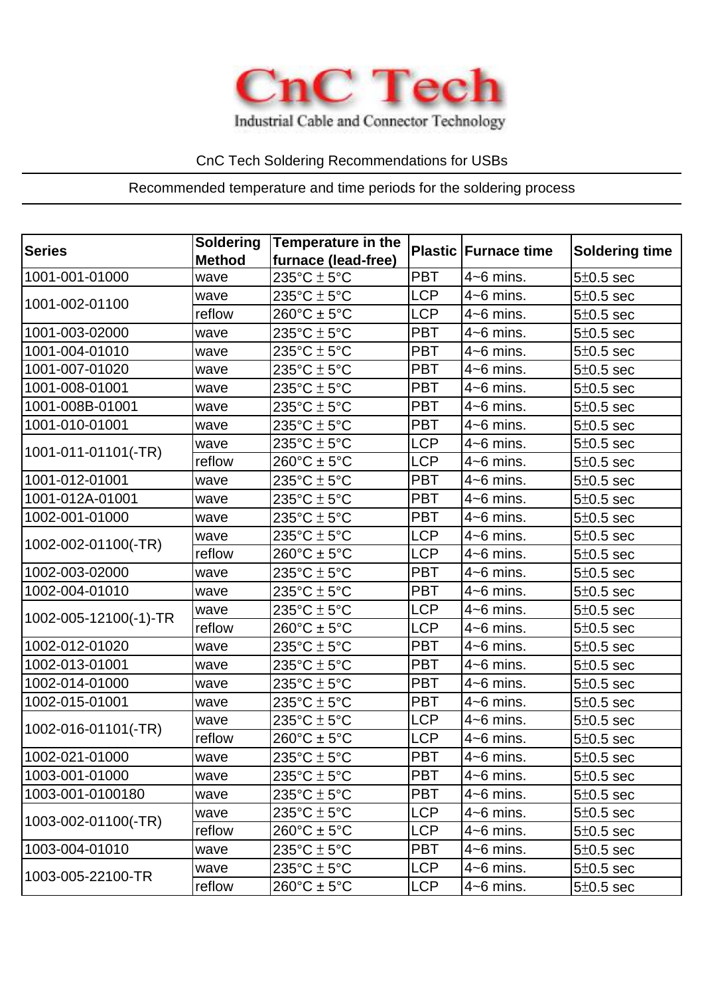

Industrial Cable and Connector Technology

## CnC Tech Soldering Recommendations for USBs

## Recommended temperature and time periods for the soldering process

| <b>Series</b>         | <b>Soldering</b><br><b>Method</b> | <b>Temperature in the</b><br>furnace (lead-free) |            | <b>Plastic Furnace time</b> | <b>Soldering time</b> |
|-----------------------|-----------------------------------|--------------------------------------------------|------------|-----------------------------|-----------------------|
| 1001-001-01000        | wave                              | $235^{\circ}$ C $\pm$ 5°C                        | <b>PBT</b> | $4-6$ mins.                 | $5\pm0.5$ sec         |
| 1001-002-01100        | wave                              | $235^{\circ}$ C $\pm$ 5°C                        | <b>LCP</b> | $4-6$ mins.                 | $5\pm0.5$ sec         |
|                       | reflow                            | $260^{\circ}C \pm 5^{\circ}C$                    | <b>LCP</b> | $4-6$ mins.                 | $5\pm0.5$ sec         |
| 1001-003-02000        | wave                              | $235^{\circ}$ C $\pm$ 5°C                        | PBT        | $4-6$ mins.                 | $5\pm0.5$ sec         |
| 1001-004-01010        | wave                              | $235^{\circ}$ C $\pm$ 5°C                        | <b>PBT</b> | $4-6$ mins.                 | $5\pm0.5$ sec         |
| 1001-007-01020        | wave                              | $235^{\circ}$ C $\pm$ 5°C                        | <b>PBT</b> | $4-6$ mins.                 | $5\pm0.5$ sec         |
| 1001-008-01001        | wave                              | $235^{\circ}$ C $\pm$ 5°C                        | <b>PBT</b> | $4-6$ mins.                 | $5\pm0.5$ sec         |
| 1001-008B-01001       | wave                              | $235^{\circ}$ C $\pm$ 5°C                        | <b>PBT</b> | $4-6$ mins.                 | $5\pm0.5$ sec         |
| 1001-010-01001        | wave                              | $235^{\circ}$ C $\pm$ 5°C                        | <b>PBT</b> | $4-6$ mins.                 | $5\pm0.5$ sec         |
| 1001-011-01101(-TR)   | wave                              | $235^{\circ}$ C $\pm$ 5°C                        | <b>LCP</b> | $4-6$ mins.                 | $5\pm0.5$ sec         |
|                       | reflow                            | $260^{\circ}C \pm 5^{\circ}C$                    | <b>LCP</b> | $4-6$ mins.                 | $5\pm0.5$ sec         |
| 1001-012-01001        | wave                              | $235^{\circ}$ C $\pm$ 5°C                        | <b>PBT</b> | $4-6$ mins.                 | $5\pm0.5$ sec         |
| 1001-012A-01001       | wave                              | $235^{\circ}$ C $\pm$ 5°C                        | <b>PBT</b> | $4-6$ mins.                 | $5\pm0.5$ sec         |
| 1002-001-01000        | wave                              | $235^{\circ}$ C $\pm$ 5°C                        | <b>PBT</b> | $4-6$ mins.                 | $5\pm0.5$ sec         |
| 1002-002-01100(-TR)   | wave                              | $235^{\circ}$ C $\pm$ 5°C                        | <b>LCP</b> | $4-6$ mins.                 | $5\pm0.5$ sec         |
|                       | reflow                            | $260^{\circ}C \pm 5^{\circ}C$                    | <b>LCP</b> | $4-6$ mins.                 | $5\pm0.5$ sec         |
| 1002-003-02000        | wave                              | $235^{\circ}$ C $\pm$ 5°C                        | <b>PBT</b> | $4-6$ mins.                 | $5\pm0.5$ sec         |
| 1002-004-01010        | wave                              | $235^{\circ}$ C $\pm$ 5°C                        | <b>PBT</b> | $4-6$ mins.                 | $5\pm0.5$ sec         |
| 1002-005-12100(-1)-TR | wave                              | $235^{\circ}$ C $\pm$ 5°C                        | <b>LCP</b> | $4-6$ mins.                 | $5\pm0.5$ sec         |
|                       | reflow                            | $260^{\circ}$ C ± 5°C                            | <b>LCP</b> | $4-6$ mins.                 | $5\pm0.5$ sec         |
| 1002-012-01020        | wave                              | $235^{\circ}$ C $\pm$ 5°C                        | <b>PBT</b> | $4-6$ mins.                 | $5\pm0.5$ sec         |
| 1002-013-01001        | wave                              | $235^{\circ}$ C $\pm$ 5°C                        | <b>PBT</b> | $4-6$ mins.                 | $5\pm0.5$ sec         |
| 1002-014-01000        | wave                              | $235^{\circ}$ C $\pm$ 5°C                        | <b>PBT</b> | $4-6$ mins.                 | $5\pm0.5$ sec         |
| 1002-015-01001        | wave                              | $235^{\circ}$ C $\pm$ 5°C                        | <b>PBT</b> | $4-6$ mins.                 | $5\pm0.5$ sec         |
| 1002-016-01101(-TR)   | wave                              | $235^{\circ}$ C $\pm$ 5°C                        | <b>LCP</b> | $4-6$ mins.                 | $5\pm0.5$ sec         |
|                       | reflow                            | $260^{\circ}C \pm 5^{\circ}C$                    | <b>LCP</b> | $4-6$ mins.                 | $5\pm0.5$ sec         |
| 1002-021-01000        | wave                              | $235^{\circ}C \pm 5^{\circ}C$                    | <b>PBT</b> | $4-6$ mins.                 | $5\pm0.5$ sec         |
| 1003-001-01000        | wave                              | $235^{\circ}$ C $\pm$ 5°C                        | PBT        | $4-6$ mins.                 | $5±0.5$ sec           |
| 1003-001-0100180      | wave                              | $235^{\circ}$ C $\pm$ 5°C                        | <b>PBT</b> | $4-6$ mins.                 | $5\pm0.5$ sec         |
| 1003-002-01100(-TR)   | wave                              | $235^{\circ}$ C $\pm$ 5°C                        | <b>LCP</b> | $4-6$ mins.                 | $5\pm0.5$ sec         |
|                       | reflow                            | $260^{\circ}$ C ± 5°C                            | <b>LCP</b> | $4-6$ mins.                 | $5\pm0.5$ sec         |
| 1003-004-01010        | wave                              | $235^{\circ}$ C $\pm$ 5°C                        | <b>PBT</b> | $4-6$ mins.                 | $5\pm0.5$ sec         |
| 1003-005-22100-TR     | wave                              | $235^{\circ}$ C $\pm$ 5°C                        | <b>LCP</b> | $4-6$ mins.                 | $5\pm0.5$ sec         |
|                       | reflow                            | $260^{\circ}$ C ± 5°C                            | <b>LCP</b> | $4-6$ mins.                 | $5±0.5$ sec           |